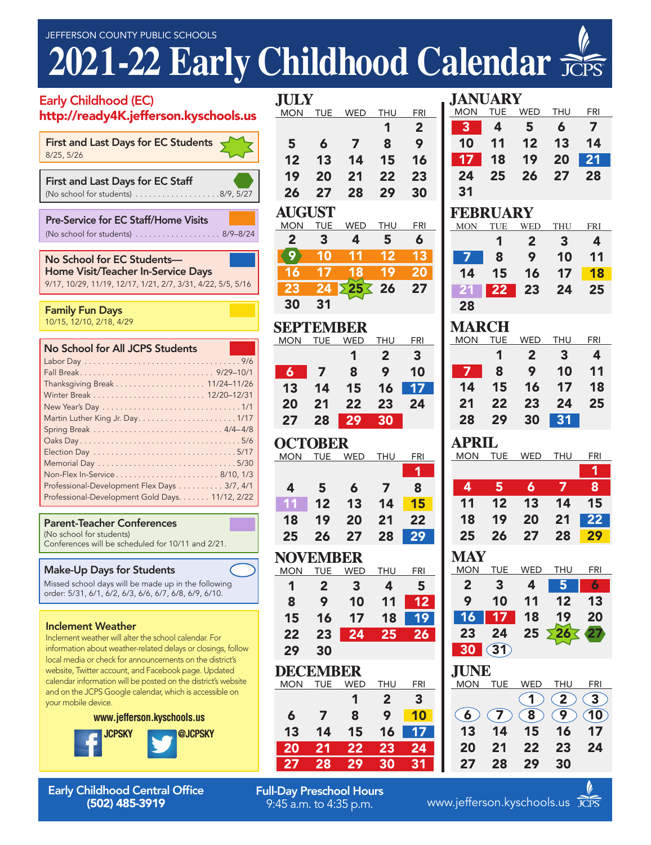# **2021-22 Early Childhood Calendar**

| <b>Early Childhood (EC)</b><br>http://ready4K.jefferson.kyschools.us                                                                                                                                                                                                | <b>JIULY</b><br><b>MON</b><br><b>TUE</b>                           |
|---------------------------------------------------------------------------------------------------------------------------------------------------------------------------------------------------------------------------------------------------------------------|--------------------------------------------------------------------|
| <b>First and Last Days for EC Students</b><br>8/25, 5/26<br><b>First and Last Days for EC Staff</b>                                                                                                                                                                 | 5<br>6<br>12<br>13<br>19<br>20                                     |
|                                                                                                                                                                                                                                                                     | 27<br>26<br><b>AUGUST</b>                                          |
| Pre-Service for EC Staff/Home Visits<br>(No school for students) 8/9-8/24                                                                                                                                                                                           | <b>MON</b><br>TUE<br>3<br>2                                        |
| No School for EC Students-<br><b>Home Visit/Teacher In-Service Days</b><br>9/17, 10/29, 11/19, 12/17, 1/21, 2/7, 3/31, 4/22, 5/5, 5/16                                                                                                                              | 9<br>10<br>17<br>16<br>23<br>24                                    |
| <b>Family Fun Days</b><br>10/15, 12/10, 2/18, 4/29                                                                                                                                                                                                                  | 31<br>30<br>SEPTEM                                                 |
| No School for All JCPS Students                                                                                                                                                                                                                                     | <b>MON</b><br>TUE                                                  |
|                                                                                                                                                                                                                                                                     | $\mathbf{6}$<br>7<br>13<br>14<br>21<br>20<br>27<br>28              |
|                                                                                                                                                                                                                                                                     | OCTOBE<br><b>MON</b><br><b>TUE</b>                                 |
| Professional-Development Flex Days 3/7, 4/1<br>Professional-Development Gold Days. 11/12, 2/22                                                                                                                                                                      | 4<br>5<br>12<br>11                                                 |
| <b>Parent-Teacher Conferences</b><br>(No school for students)<br>Conferences will be scheduled for 10/11 and 2/21.                                                                                                                                                  | 19<br>18<br>26<br>25                                               |
| <b>Make-Up Days for Students</b><br>Missed school days will be made up in the following<br>order: 5/31, 6/1, 6/2, 6/3, 6/6, 6/7, 6/8, 6/9, 6/10.                                                                                                                    | NOVEM<br><b>MON</b><br><b>TUE</b><br>$\overline{2}$<br>1<br>9<br>8 |
| <b>Inclement Weather</b><br>Inclement weather will alter the school calendar. For<br>information about weather-related delays or closings, follow                                                                                                                   | 15<br>16<br>22<br>23<br>30<br>29                                   |
| local media or check for announcements on the district's<br>website, Twitter account, and Facebook page. Updated<br>calendar information will be posted on the district's website<br>and on the JCPS Google calendar, which is accessible on<br>your mobile device. | DECEM<br><b>MON</b><br>TUE                                         |
| www.jefferson.kyschools.us                                                                                                                                                                                                                                          | 6<br>13<br>14                                                      |
| @JCPSKY<br><b>JCPSKY</b>                                                                                                                                                                                                                                            | 20<br>21                                                           |

Early Childhood Central Office (502) 485-3919

| JULI            | MON TUE WED      |                         | <b>THU</b>              | <b>FRI</b>      |  |  |  |
|-----------------|------------------|-------------------------|-------------------------|-----------------|--|--|--|
|                 |                  |                         | 1                       | 2 <sup>1</sup>  |  |  |  |
| 5               | $\boldsymbol{6}$ | $\overline{\mathbf{z}}$ | 8                       | 9               |  |  |  |
| 12              | 13               | 14                      | 15                      | 16              |  |  |  |
| 19              | 20               | 21                      | 22                      | 23              |  |  |  |
| 26              | 27               | 28                      | 29                      | 30              |  |  |  |
| <b>AUGUST</b>   |                  |                         |                         |                 |  |  |  |
| <b>MON</b>      | <b>TUE</b>       | WED                     | THU                     | <b>FRI</b>      |  |  |  |
| $\overline{2}$  | 3                | $\overline{\mathbf{4}}$ | 5                       | 6               |  |  |  |
| 9)              | 10               | 11                      | 12                      | 13              |  |  |  |
| 16              | $\overline{17}$  | 18                      | $\overline{19}$         | 20              |  |  |  |
|                 | 24               |                         | 26                      | 27              |  |  |  |
| 30              | 31               |                         |                         |                 |  |  |  |
| SEPTEMBER       |                  |                         |                         |                 |  |  |  |
| MON TUE         |                  | <b>WED</b>              | <b>THU</b>              | <b>FRI</b>      |  |  |  |
|                 |                  | 1                       | $\overline{2}$          | $\mathbf{3}$    |  |  |  |
| $\overline{6}$  | $\overline{7}$   | 8                       | 9                       | 10              |  |  |  |
| 13              | 14               | 15                      | 16                      | 17              |  |  |  |
| 20              | 21               | 22                      | 23                      | 24              |  |  |  |
| 27              | 28               | 29                      | 30                      |                 |  |  |  |
| <b>OCTOBER</b>  |                  |                         |                         |                 |  |  |  |
|                 |                  | <u>MON TUE WED THU</u>  |                         | <u>FRI</u>      |  |  |  |
|                 |                  |                         |                         | 1               |  |  |  |
| 4               | $5\phantom{1}$   | $\boldsymbol{6}$        | $\overline{7}$          | 8               |  |  |  |
| 11              | 12               | 13                      | 14                      | 15              |  |  |  |
| 18              | 19               | 20                      | 21                      | 22              |  |  |  |
| 25              | 26               | 27                      | 28                      | 29              |  |  |  |
|                 |                  |                         | <b>NOVEMBER</b>         |                 |  |  |  |
|                 |                  |                         |                         |                 |  |  |  |
|                 |                  | MON TUE WED THU FRI     |                         |                 |  |  |  |
| $\mathbf{1}$    | $2^{\circ}$      | $\overline{\mathbf{3}}$ | $\overline{4}$          | $5\phantom{0}$  |  |  |  |
| 8               | 9                | 10                      | 11                      | 12              |  |  |  |
| 15              | 16               | 17                      | 18                      | 19              |  |  |  |
| 22              | 23               | $\overline{24}$         | 25                      | $\overline{26}$ |  |  |  |
| 29              | 30               |                         |                         |                 |  |  |  |
| <b>DECEMBER</b> |                  |                         |                         |                 |  |  |  |
| <b>MON</b>      | <b>TUE</b>       | <b>WED</b>              | <b>THU</b>              | <b>FRI</b>      |  |  |  |
|                 |                  | 1                       | $\overline{\mathbf{c}}$ | 3               |  |  |  |
| 6               | 7                | 8                       | 9                       | 10              |  |  |  |
| 13              | 14               | 15                      | 16                      | $\overline{17}$ |  |  |  |
| 20<br>27        | 21<br>28         | 22<br><u> 29</u>        | 23<br>$\overline{30}$   | 24<br>31        |  |  |  |

**Full-Day Preschool Hours**<br>9:45 a.m. to 4:35 p.m.

| JANUARY            |                 |                  |                 |                         |
|--------------------|-----------------|------------------|-----------------|-------------------------|
| MON                |                 | TUE WED          | THU             | <b>FRI</b>              |
| 3                  | 4               | 5                | 6               | $\overline{ }$          |
| 10                 | 11              | 12               | 13              | 14                      |
| 17 <sup>1</sup>    | 18              | 19               | 20              | 21                      |
| 24                 | 25              | 26               | 27              | 28                      |
| 31                 |                 |                  |                 |                         |
|                    |                 |                  |                 |                         |
| <b>FEBRUARY</b>    | TUE             |                  | THU             | <b>FRI</b>              |
| MON                | 1               | WED<br>2         | 3 <sup>1</sup>  | 4                       |
|                    |                 |                  |                 |                         |
| 7                  | 8               | 9                | 10              | 11                      |
| 14                 | 15 <sub>1</sub> | 16               | 17              | <b>18</b>               |
| 21 <sub>2</sub>    | 22              | 23               | 24              | 25                      |
| 28                 |                 |                  |                 |                         |
| <b>MARCH</b>       |                 |                  |                 |                         |
| MON                | <b>TUE</b>      | <b>WED</b>       | THU             | <b>FRI</b>              |
|                    | 1               | $\mathbf{2}$     | 3.              | $\overline{\mathbf{4}}$ |
| $\overline{7}$     | 8               | 9                | 10 <sup>°</sup> | 11                      |
| 14                 | 15              | 16               | 17 <sup>2</sup> | 18                      |
| 21                 | 22              | 23               | 24              | 25                      |
| 28                 | 29              | 30               | $\overline{31}$ |                         |
|                    |                 |                  |                 |                         |
|                    |                 |                  |                 |                         |
| <b>APRIL</b>       |                 |                  |                 |                         |
|                    |                 | MON TUE WED      | <b>THU</b>      | <b>FRI</b>              |
|                    |                 |                  |                 | $\overline{\mathbf{1}}$ |
| $\overline{4}$     | 5               | $\boldsymbol{6}$ | $\overline{7}$  | 8                       |
| 11                 | 12              | 13               | 14              | 15                      |
| 18                 | 19              | 20               | 21              | $\overline{22}$         |
| 25                 | 26              | 27               | 28              | 29                      |
|                    |                 |                  |                 |                         |
| <b>MAY</b>         |                 |                  |                 |                         |
| <u>MON</u>         | <u>TUE</u>      | <b>WED</b><br>4  | <b>THU</b>      | <b>FRI</b>              |
| $\overline{2}$     | 3               |                  | 5               | 6                       |
| 9                  | 10              | 11               | 12              | 13                      |
| 16                 | 17              | 18               | 19              | 20                      |
| 23                 | 24              | 25               | 26 <sup>2</sup> | 27 <sub>2</sub>         |
| 30                 | (31)            |                  |                 |                         |
| IUNE               |                 |                  |                 |                         |
| <b>MON</b>         | <b>TUE</b>      | <b>WED</b>       | <b>THU</b>      | FRI                     |
|                    |                 | 1                | 2               | 3                       |
| $\left( 6 \right)$ | $\mathcal{C}$ 7 | 8                | 9               | (10)                    |
| 13                 | 14              | 15               | 16              | 17                      |
| 20                 | 21              | 22               | 23              | 24                      |



www.jefferson.kyschools.us